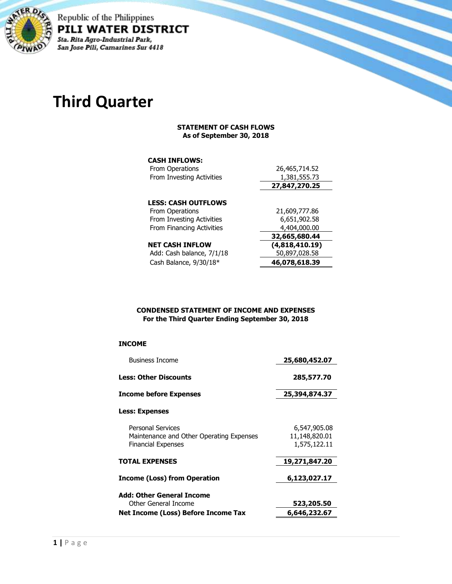

Republic of the Philippines PILI WATER DISTRICT Sta. Rita Agro-Industrial Park, San Jose Pili, Camarines Sur 4418

# **Third Quarter**

#### **STATEMENT OF CASH FLOWS As of September 30, 2018**

## **CASH INFLOWS:**

| From Operations            | 26,465,714.52  |
|----------------------------|----------------|
| From Investing Activities  | 1,381,555.73   |
|                            | 27,847,270.25  |
| <b>LESS: CASH OUTFLOWS</b> |                |
|                            |                |
| From Operations            | 21,609,777.86  |
| From Investing Activities  | 6,651,902.58   |
| From Financing Activities  | 4,404,000.00   |
|                            | 32,665,680.44  |
| <b>NET CASH INFLOW</b>     | (4,818,410.19) |
| Add: Cash balance, 7/1/18  | 50,897,028.58  |
| Cash Balance, 9/30/18*     | 46,078,618.39  |

#### **CONDENSED STATEMENT OF INCOME AND EXPENSES For the Third Quarter Ending September 30, 2018**

### **INCOME**

| <b>Business Income</b>                                               | 25,680,452.07                 |
|----------------------------------------------------------------------|-------------------------------|
| Less: Other Discounts                                                | 285,577.70                    |
| Income before Expenses                                               | 25,394,874.37                 |
| <b>Less: Expenses</b>                                                |                               |
| <b>Personal Services</b><br>Maintenance and Other Operating Expenses | 6,547,905.08<br>11,148,820.01 |
| <b>Financial Expenses</b>                                            | 1,575,122.11                  |
| TOTAL EXPENSES                                                       | 19,271,847.20                 |
| Income (Loss) from Operation                                         | 6,123,027.17                  |
| Add: Other General Income                                            |                               |
| Other General Income                                                 | 523,205.50                    |
| Net Income (Loss) Before Income Tax                                  | 6,646,232.67                  |